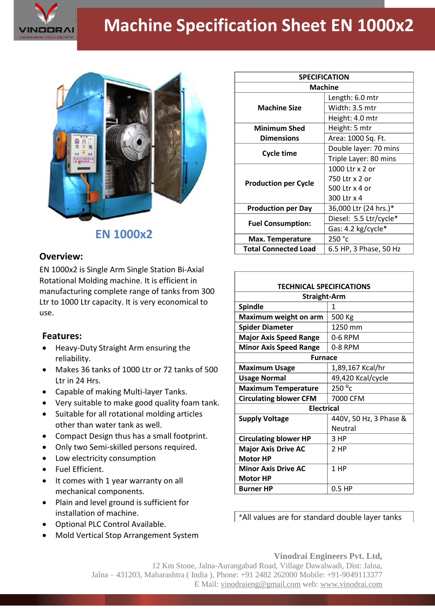

## **Machine Specification Sheet EN 1000x2**



**EN 1000x2**

## **Overview:**

EN 1000x2 is Single Arm Single Station Bi-Axial Rotational Molding machine. It is efficient in manufacturing complete range of tanks from 300 Ltr to 1000 Ltr capacity. It is very economical to use.

## **Features:**

- Heavy-Duty Straight Arm ensuring the reliability.
- Makes 36 tanks of 1000 Ltr or 72 tanks of 500 Ltr in 24 Hrs.
- Capable of making Multi-layer Tanks.
- Very suitable to make good quality foam tank.
- Suitable for all rotational molding articles other than water tank as well.
- Compact Design thus has a small footprint.
- Only two Semi-skilled persons required.
- Low electricity consumption
- **•** Fuel Efficient.
- It comes with 1 year warranty on all mechanical components.
- Plain and level ground is sufficient for installation of machine.
- Optional PLC Control Available.
- Mold Vertical Stop Arrangement System

| <b>SPECIFICATION</b>        |                        |
|-----------------------------|------------------------|
| <b>Machine</b>              |                        |
| <b>Machine Size</b>         | Length: 6.0 mtr        |
|                             | Width: 3.5 mtr         |
|                             | Height: 4.0 mtr        |
| <b>Minimum Shed</b>         | Height: 5 mtr          |
| <b>Dimensions</b>           | Area: 1000 Sq. Ft.     |
| Cycle time                  | Double layer: 70 mins  |
|                             | Triple Layer: 80 mins  |
| <b>Production per Cycle</b> | 1000 Ltr x 2 or        |
|                             | 750 Ltr x 2 or         |
|                             | 500 Ltr x 4 or         |
|                             | 300 Ltr x 4            |
| <b>Production per Day</b>   | 36,000 Ltr (24 hrs.)*  |
| <b>Fuel Consumption:</b>    | Diesel: 5.5 Ltr/cycle* |
|                             | Gas: 4.2 kg/cycle*     |
| <b>Max. Temperature</b>     | 250 °c                 |
| <b>Total Connected Load</b> | 6.5 HP, 3 Phase, 50 Hz |

| <b>TECHNICAL SPECIFICATIONS</b> |                        |  |
|---------------------------------|------------------------|--|
| <b>Straight-Arm</b>             |                        |  |
| <b>Spindle</b>                  | 1                      |  |
| Maximum weight on arm           | 500 Kg                 |  |
| <b>Spider Diameter</b>          | 1250 mm                |  |
| <b>Major Axis Speed Range</b>   | 0-6 RPM                |  |
| <b>Minor Axis Speed Range</b>   | 0-8 RPM                |  |
| <b>Furnace</b>                  |                        |  |
| <b>Maximum Usage</b>            | 1,89,167 Kcal/hr       |  |
| <b>Usage Normal</b>             | 49,420 Kcal/cycle      |  |
| <b>Maximum Temperature</b>      | 250 °c                 |  |
| <b>Circulating blower CFM</b>   | 7000 CFM               |  |
| <b>Electrical</b>               |                        |  |
| <b>Supply Voltage</b>           | 440V, 50 Hz, 3 Phase & |  |
|                                 | <b>Neutral</b>         |  |
| <b>Circulating blower HP</b>    | 3 HP                   |  |
| <b>Major Axis Drive AC</b>      | 2 HP                   |  |
| <b>Motor HP</b>                 |                        |  |
| <b>Minor Axis Drive AC</b>      | 1 HP                   |  |
| <b>Motor HP</b>                 |                        |  |
| <b>Burner HP</b>                | $0.5$ HP               |  |

\*All values are for standard double layer tanks

**Vinodrai Engineers Pvt. Ltd,**

12 Km Stone, Jalna-Aurangabad Road, Village Dawalwadi, Dist: Jalna, Jalna – 431203, Maharashtra ( India ), Phone: +91 2482 262000 Mobile: +91-9049113377 E Mail: vinodraieng@gmail.com web: www.vinodrai.com